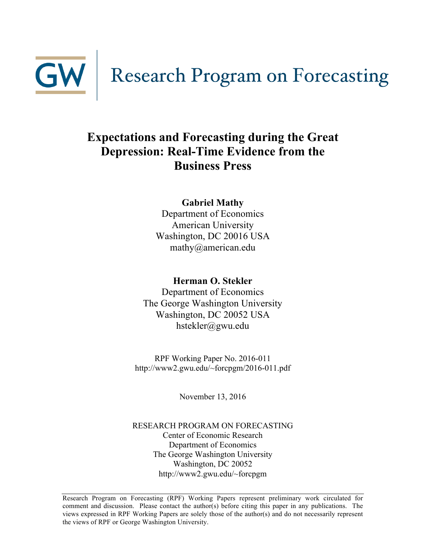

## **Expectations and Forecasting during the Great Depression: Real-Time Evidence from the Business Press**

**Gabriel Mathy** Department of Economics American University Washington, DC 20016 USA mathy@american.edu

### **Herman O. Stekler**

Department of Economics The George Washington University Washington, DC 20052 USA hstekler@gwu.edu

RPF Working Paper No. 2016-011 http://www2.gwu.edu/~forcpgm/2016-011.pdf

November 13, 2016

RESEARCH PROGRAM ON FORECASTING Center of Economic Research Department of Economics The George Washington University Washington, DC 20052 http://www2.gwu.edu/~forcpgm

Research Program on Forecasting (RPF) Working Papers represent preliminary work circulated for comment and discussion. Please contact the author(s) before citing this paper in any publications. The views expressed in RPF Working Papers are solely those of the author(s) and do not necessarily represent the views of RPF or George Washington University.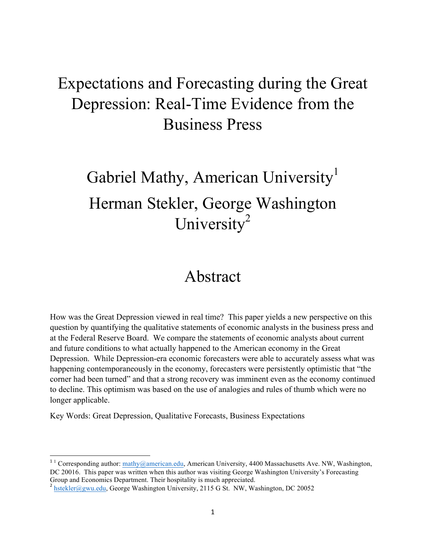# Expectations and Forecasting during the Great Depression: Real-Time Evidence from the Business Press

# Gabriel Mathy, American University<sup>1</sup> Herman Stekler, George Washington University<sup>2</sup>

# Abstract

How was the Great Depression viewed in real time? This paper yields a new perspective on this question by quantifying the qualitative statements of economic analysts in the business press and at the Federal Reserve Board. We compare the statements of economic analysts about current and future conditions to what actually happened to the American economy in the Great Depression. While Depression-era economic forecasters were able to accurately assess what was happening contemporaneously in the economy, forecasters were persistently optimistic that "the corner had been turned" and that a strong recovery was imminent even as the economy continued to decline. This optimism was based on the use of analogies and rules of thumb which were no longer applicable.

Key Words: Great Depression, Qualitative Forecasts, Business Expectations

""""""""""""""""""""""""""""""""""""""""""""""""""""""""""""

 $11$  Corresponding author: mathy@american.edu, American University, 4400 Massachusetts Ave. NW, Washington, DC 20016. This paper was written when this author was visiting George Washington University's Forecasting Group and Economics Department. Their hospitality is much appreciated.<br><sup>2</sup> hstekler@gwu.edu, George Washington University, 2115 G St. NW, Washington, DC 20052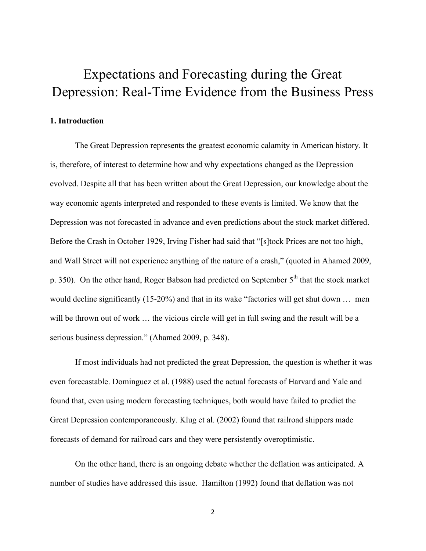# Expectations and Forecasting during the Great Depression: Real-Time Evidence from the Business Press

#### **1. Introduction**

The Great Depression represents the greatest economic calamity in American history. It is, therefore, of interest to determine how and why expectations changed as the Depression evolved. Despite all that has been written about the Great Depression, our knowledge about the way economic agents interpreted and responded to these events is limited. We know that the Depression was not forecasted in advance and even predictions about the stock market differed. Before the Crash in October 1929, Irving Fisher had said that "[s]tock Prices are not too high, and Wall Street will not experience anything of the nature of a crash," (quoted in Ahamed 2009, p. 350). On the other hand, Roger Babson had predicted on September 5<sup>th</sup> that the stock market would decline significantly (15-20%) and that in its wake "factories will get shut down … men will be thrown out of work ... the vicious circle will get in full swing and the result will be a serious business depression." (Ahamed 2009, p. 348).

If most individuals had not predicted the great Depression, the question is whether it was even forecastable. Dominguez et al. (1988) used the actual forecasts of Harvard and Yale and found that, even using modern forecasting techniques, both would have failed to predict the Great Depression contemporaneously. Klug et al. (2002) found that railroad shippers made forecasts of demand for railroad cars and they were persistently overoptimistic.

On the other hand, there is an ongoing debate whether the deflation was anticipated. A number of studies have addressed this issue. Hamilton (1992) found that deflation was not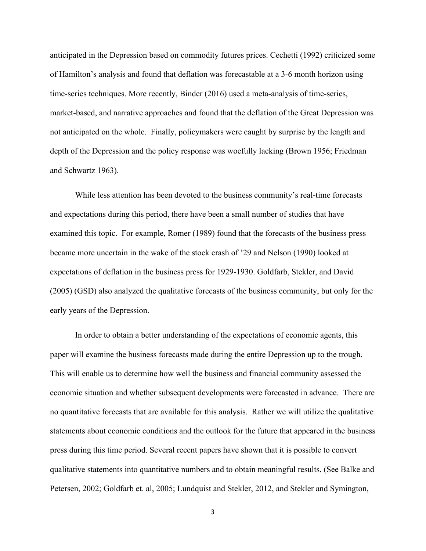anticipated in the Depression based on commodity futures prices. Cechetti (1992) criticized some of Hamilton's analysis and found that deflation was forecastable at a 3-6 month horizon using time-series techniques. More recently, Binder (2016) used a meta-analysis of time-series, market-based, and narrative approaches and found that the deflation of the Great Depression was not anticipated on the whole. Finally, policymakers were caught by surprise by the length and depth of the Depression and the policy response was woefully lacking (Brown 1956; Friedman and Schwartz 1963).

While less attention has been devoted to the business community's real-time forecasts and expectations during this period, there have been a small number of studies that have examined this topic. For example, Romer (1989) found that the forecasts of the business press became more uncertain in the wake of the stock crash of '29 and Nelson (1990) looked at expectations of deflation in the business press for 1929-1930. Goldfarb, Stekler, and David (2005) (GSD) also analyzed the qualitative forecasts of the business community, but only for the early years of the Depression.

In order to obtain a better understanding of the expectations of economic agents, this paper will examine the business forecasts made during the entire Depression up to the trough. This will enable us to determine how well the business and financial community assessed the economic situation and whether subsequent developments were forecasted in advance. There are no quantitative forecasts that are available for this analysis. Rather we will utilize the qualitative statements about economic conditions and the outlook for the future that appeared in the business press during this time period. Several recent papers have shown that it is possible to convert qualitative statements into quantitative numbers and to obtain meaningful results. (See Balke and Petersen, 2002; Goldfarb et. al, 2005; Lundquist and Stekler, 2012, and Stekler and Symington,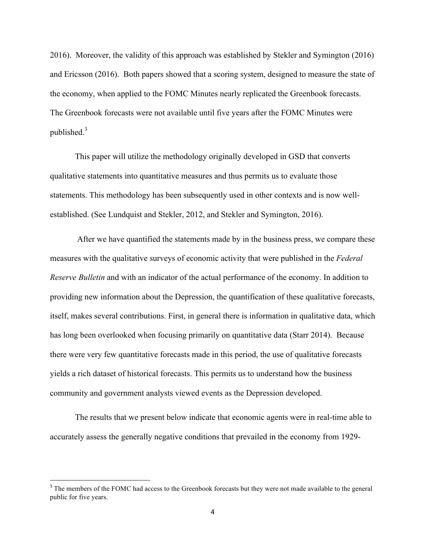2016). Moreover, the validity of this approach was established by Stekler and Symington (2016) and Ericsson (2016). Both papers showed that a scoring system, designed to measure the state of the economy, when applied to the FOMC Minutes nearly replicated the Greenbook forecasts. The Greenbook forecasts were not available until five years after the FOMC Minutes were published. $3$ 

This paper will utilize the methodology originally developed in GSD that converts qualitative statements into quantitative measures and thus permits us to evaluate those statements. This methodology has been subsequently used in other contexts and is now wellestablished. (See Lundquist and Stekler, 2012, and Stekler and Symington, 2016).

After we have quantified the statements made by in the business press, we compare these measures with the qualitative surveys of economic activity that were published in the *Federal Reserve Bulletin* and with an indicator of the actual performance of the economy. In addition to providing new information about the Depression, the quantification of these qualitative forecasts, itself, makes several contributions. First, in general there is information in qualitative data, which has long been overlooked when focusing primarily on quantitative data (Starr 2014). Because there were very few quantitative forecasts made in this period, the use of qualitative forecasts yields a rich dataset of historical forecasts. This permits us to understand how the business community and government analysts viewed events as the Depression developed.

The results that we present below indicate that economic agents were in real-time able to accurately assess the generally negative conditions that prevailed in the economy from 1929-

""""""""""""""""""""""""""""""""""""""""""""""""""""""""""""

<sup>&</sup>lt;sup>3</sup> The members of the FOMC had access to the Greenbook forecasts but they were not made available to the general public for five years.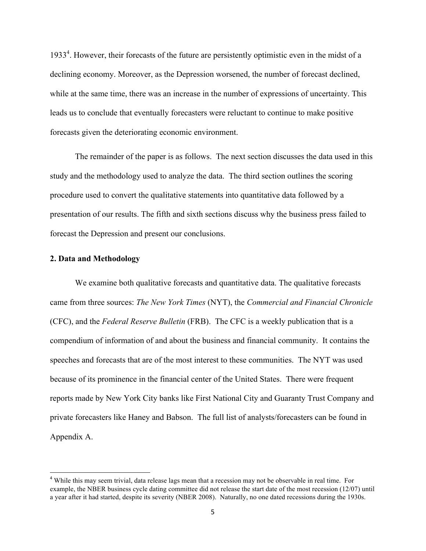1933<sup>4</sup>. However, their forecasts of the future are persistently optimistic even in the midst of a declining economy. Moreover, as the Depression worsened, the number of forecast declined, while at the same time, there was an increase in the number of expressions of uncertainty. This leads us to conclude that eventually forecasters were reluctant to continue to make positive forecasts given the deteriorating economic environment.

The remainder of the paper is as follows. The next section discusses the data used in this study and the methodology used to analyze the data. The third section outlines the scoring procedure used to convert the qualitative statements into quantitative data followed by a presentation of our results. The fifth and sixth sections discuss why the business press failed to forecast the Depression and present our conclusions.

#### **2. Data and Methodology**

""""""""""""""""""""""""""""""""""""""""""""""""""""""""""""

We examine both qualitative forecasts and quantitative data. The qualitative forecasts came from three sources: *The New York Times* (NYT), the *Commercial and Financial Chronicle*  (CFC), and the *Federal Reserve Bulletin* (FRB). The CFC is a weekly publication that is a compendium of information of and about the business and financial community. It contains the speeches and forecasts that are of the most interest to these communities. The NYT was used because of its prominence in the financial center of the United States. There were frequent reports made by New York City banks like First National City and Guaranty Trust Company and private forecasters like Haney and Babson. The full list of analysts/forecasters can be found in Appendix A.

<sup>&</sup>lt;sup>4</sup> While this may seem trivial, data release lags mean that a recession may not be observable in real time. For example, the NBER business cycle dating committee did not release the start date of the most recession (12/07) until a year after it had started, despite its severity (NBER 2008). Naturally, no one dated recessions during the 1930s.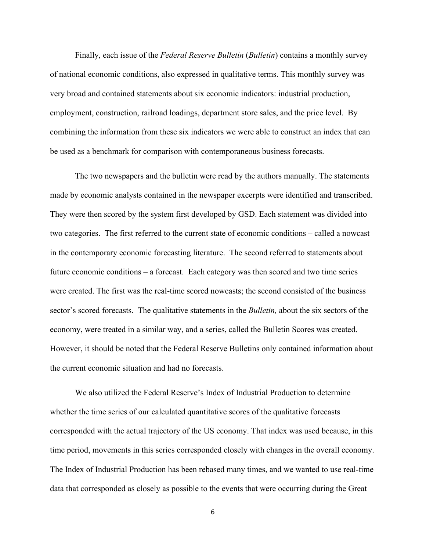Finally, each issue of the *Federal Reserve Bulletin* (*Bulletin*) contains a monthly survey of national economic conditions, also expressed in qualitative terms. This monthly survey was very broad and contained statements about six economic indicators: industrial production, employment, construction, railroad loadings, department store sales, and the price level. By combining the information from these six indicators we were able to construct an index that can be used as a benchmark for comparison with contemporaneous business forecasts.

The two newspapers and the bulletin were read by the authors manually. The statements made by economic analysts contained in the newspaper excerpts were identified and transcribed. They were then scored by the system first developed by GSD. Each statement was divided into two categories. The first referred to the current state of economic conditions – called a nowcast in the contemporary economic forecasting literature. The second referred to statements about future economic conditions – a forecast. Each category was then scored and two time series were created. The first was the real-time scored nowcasts; the second consisted of the business sector's scored forecasts. The qualitative statements in the *Bulletin,* about the six sectors of the economy, were treated in a similar way, and a series, called the Bulletin Scores was created. However, it should be noted that the Federal Reserve Bulletins only contained information about the current economic situation and had no forecasts.

We also utilized the Federal Reserve's Index of Industrial Production to determine whether the time series of our calculated quantitative scores of the qualitative forecasts corresponded with the actual trajectory of the US economy. That index was used because, in this time period, movements in this series corresponded closely with changes in the overall economy. The Index of Industrial Production has been rebased many times, and we wanted to use real-time data that corresponded as closely as possible to the events that were occurring during the Great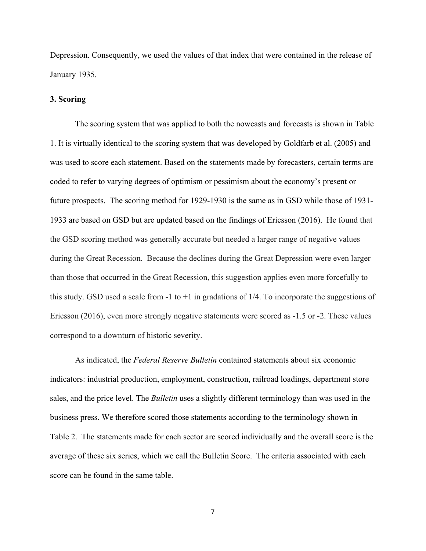Depression. Consequently, we used the values of that index that were contained in the release of January 1935.

#### **3. Scoring**

The scoring system that was applied to both the nowcasts and forecasts is shown in Table 1. It is virtually identical to the scoring system that was developed by Goldfarb et al. (2005) and was used to score each statement. Based on the statements made by forecasters, certain terms are coded to refer to varying degrees of optimism or pessimism about the economy's present or future prospects. The scoring method for 1929-1930 is the same as in GSD while those of 1931- 1933 are based on GSD but are updated based on the findings of Ericsson (2016). He found that the GSD scoring method was generally accurate but needed a larger range of negative values during the Great Recession. Because the declines during the Great Depression were even larger than those that occurred in the Great Recession, this suggestion applies even more forcefully to this study. GSD used a scale from  $-1$  to  $+1$  in gradations of  $1/4$ . To incorporate the suggestions of Ericsson (2016), even more strongly negative statements were scored as -1.5 or -2. These values correspond to a downturn of historic severity.

As indicated, the *Federal Reserve Bulletin* contained statements about six economic indicators: industrial production, employment, construction, railroad loadings, department store sales, and the price level. The *Bulletin* uses a slightly different terminology than was used in the business press. We therefore scored those statements according to the terminology shown in Table 2. The statements made for each sector are scored individually and the overall score is the average of these six series, which we call the Bulletin Score. The criteria associated with each score can be found in the same table.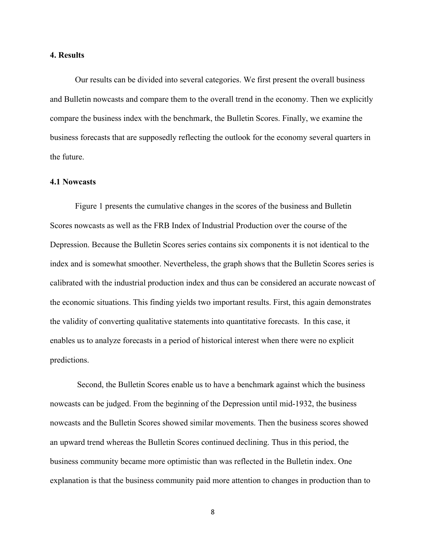#### **4. Results**

Our results can be divided into several categories. We first present the overall business and Bulletin nowcasts and compare them to the overall trend in the economy. Then we explicitly compare the business index with the benchmark, the Bulletin Scores. Finally, we examine the business forecasts that are supposedly reflecting the outlook for the economy several quarters in the future.

#### **4.1 Nowcasts**

Figure 1 presents the cumulative changes in the scores of the business and Bulletin Scores nowcasts as well as the FRB Index of Industrial Production over the course of the Depression. Because the Bulletin Scores series contains six components it is not identical to the index and is somewhat smoother. Nevertheless, the graph shows that the Bulletin Scores series is calibrated with the industrial production index and thus can be considered an accurate nowcast of the economic situations. This finding yields two important results. First, this again demonstrates the validity of converting qualitative statements into quantitative forecasts. In this case, it enables us to analyze forecasts in a period of historical interest when there were no explicit predictions.

Second, the Bulletin Scores enable us to have a benchmark against which the business nowcasts can be judged. From the beginning of the Depression until mid-1932, the business nowcasts and the Bulletin Scores showed similar movements. Then the business scores showed an upward trend whereas the Bulletin Scores continued declining. Thus in this period, the business community became more optimistic than was reflected in the Bulletin index. One explanation is that the business community paid more attention to changes in production than to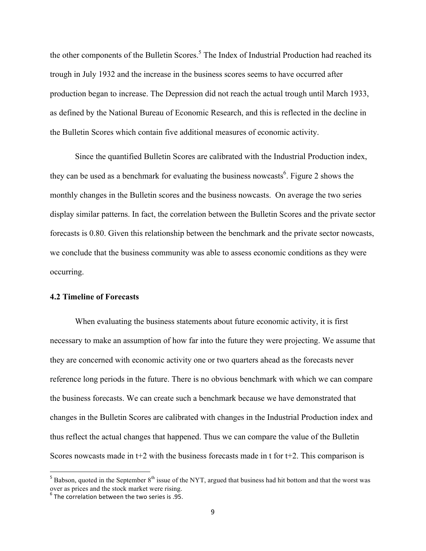the other components of the Bulletin Scores.<sup>5</sup> The Index of Industrial Production had reached its trough in July 1932 and the increase in the business scores seems to have occurred after production began to increase. The Depression did not reach the actual trough until March 1933, as defined by the National Bureau of Economic Research, and this is reflected in the decline in the Bulletin Scores which contain five additional measures of economic activity.

Since the quantified Bulletin Scores are calibrated with the Industrial Production index, they can be used as a benchmark for evaluating the business nowcasts<sup>6</sup>. Figure 2 shows the monthly changes in the Bulletin scores and the business nowcasts. On average the two series display similar patterns. In fact, the correlation between the Bulletin Scores and the private sector forecasts is 0.80. Given this relationship between the benchmark and the private sector nowcasts, we conclude that the business community was able to assess economic conditions as they were occurring.

#### **4.2 Timeline of Forecasts**

When evaluating the business statements about future economic activity, it is first necessary to make an assumption of how far into the future they were projecting. We assume that they are concerned with economic activity one or two quarters ahead as the forecasts never reference long periods in the future. There is no obvious benchmark with which we can compare the business forecasts. We can create such a benchmark because we have demonstrated that changes in the Bulletin Scores are calibrated with changes in the Industrial Production index and thus reflect the actual changes that happened. Thus we can compare the value of the Bulletin Scores nowcasts made in  $t+2$  with the business forecasts made in t for  $t+2$ . This comparison is

""""""""""""""""""""""""""""""""""""""""""""""""""""""""""""

 $5$  Babson, quoted in the September  $8<sup>th</sup>$  issue of the NYT, argued that business had hit bottom and that the worst was over as prices and the stock market were rising.

 $6$  The correlation between the two series is .95.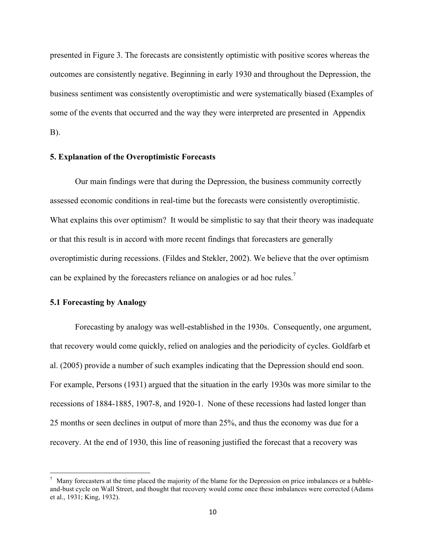presented in Figure 3. The forecasts are consistently optimistic with positive scores whereas the outcomes are consistently negative. Beginning in early 1930 and throughout the Depression, the business sentiment was consistently overoptimistic and were systematically biased (Examples of some of the events that occurred and the way they were interpreted are presented in Appendix B).

#### **5. Explanation of the Overoptimistic Forecasts**

Our main findings were that during the Depression, the business community correctly assessed economic conditions in real-time but the forecasts were consistently overoptimistic. What explains this over optimism? It would be simplistic to say that their theory was inadequate or that this result is in accord with more recent findings that forecasters are generally overoptimistic during recessions. (Fildes and Stekler, 2002). We believe that the over optimism can be explained by the forecasters reliance on analogies or ad hoc rules.<sup>7</sup>

### **5.1 Forecasting by Analogy**

""""""""""""""""""""""""""""""""""""""""""""""""""""""""""""

Forecasting by analogy was well-established in the 1930s. Consequently, one argument, that recovery would come quickly, relied on analogies and the periodicity of cycles. Goldfarb et al. (2005) provide a number of such examples indicating that the Depression should end soon. For example, Persons (1931) argued that the situation in the early 1930s was more similar to the recessions of 1884-1885, 1907-8, and 1920-1. None of these recessions had lasted longer than 25 months or seen declines in output of more than 25%, and thus the economy was due for a recovery. At the end of 1930, this line of reasoning justified the forecast that a recovery was

 $<sup>7</sup>$  Many forecasters at the time placed the majority of the blame for the Depression on price imbalances or a bubble-</sup> and-bust cycle on Wall Street, and thought that recovery would come once these imbalances were corrected (Adams et al., 1931; King, 1932).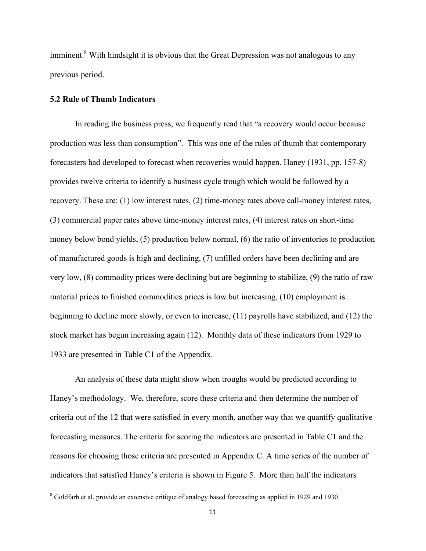imminent.<sup>8</sup> With hindsight it is obvious that the Great Depression was not analogous to any previous period.

#### **5.2 Rule of Thumb Indicators**

""""""""""""""""""""""""""""""""""""""""""""""""""""""""""""

In reading the business press, we frequently read that "a recovery would occur because production was less than consumption". This was one of the rules of thumb that contemporary forecasters had developed to forecast when recoveries would happen. Haney (1931, pp. 157-8) provides twelve criteria to identify a business cycle trough which would be followed by a recovery. These are: (1) low interest rates, (2) time-money rates above call-money interest rates, (3) commercial paper rates above time-money interest rates, (4) interest rates on short-time money below bond yields, (5) production below normal, (6) the ratio of inventories to production of manufactured goods is high and declining, (7) unfilled orders have been declining and are very low, (8) commodity prices were declining but are beginning to stabilize, (9) the ratio of raw material prices to finished commodities prices is low but increasing, (10) employment is beginning to decline more slowly, or even to increase, (11) payrolls have stabilized, and (12) the stock market has begun increasing again (12). Monthly data of these indicators from 1929 to 1933 are presented in Table C1 of the Appendix.

An analysis of these data might show when troughs would be predicted according to Haney's methodology. We, therefore, score these criteria and then determine the number of criteria out of the 12 that were satisfied in every month, another way that we quantify qualitative forecasting measures. The criteria for scoring the indicators are presented in Table C1 and the reasons for choosing those criteria are presented in Appendix C. A time series of the number of indicators that satisfied Haney's criteria is shown in Figure 5. More than half the indicators

 $8$  Goldfarb et al. provide an extensive critique of analogy based forecasting as applied in 1929 and 1930.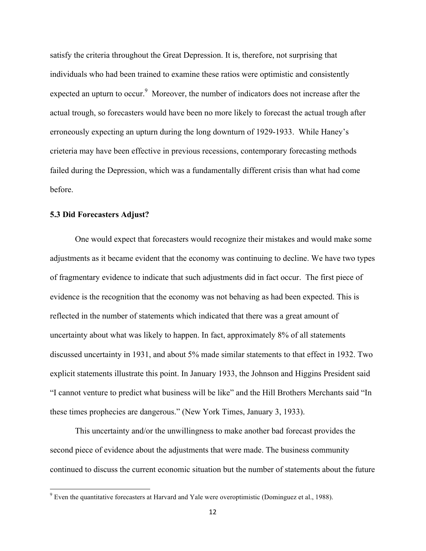satisfy the criteria throughout the Great Depression. It is, therefore, not surprising that individuals who had been trained to examine these ratios were optimistic and consistently expected an upturn to occur.<sup>9</sup> Moreover, the number of indicators does not increase after the actual trough, so forecasters would have been no more likely to forecast the actual trough after erroneously expecting an upturn during the long downturn of 1929-1933. While Haney's crieteria may have been effective in previous recessions, contemporary forecasting methods failed during the Depression, which was a fundamentally different crisis than what had come before.

### **5.3 Did Forecasters Adjust?**

""""""""""""""""""""""""""""""""""""""""""""""""""""""""""""

One would expect that forecasters would recognize their mistakes and would make some adjustments as it became evident that the economy was continuing to decline. We have two types of fragmentary evidence to indicate that such adjustments did in fact occur. The first piece of evidence is the recognition that the economy was not behaving as had been expected. This is reflected in the number of statements which indicated that there was a great amount of uncertainty about what was likely to happen. In fact, approximately 8% of all statements discussed uncertainty in 1931, and about 5% made similar statements to that effect in 1932. Two explicit statements illustrate this point. In January 1933, the Johnson and Higgins President said "I cannot venture to predict what business will be like" and the Hill Brothers Merchants said "In these times prophecies are dangerous." (New York Times, January 3, 1933).

This uncertainty and/or the unwillingness to make another bad forecast provides the second piece of evidence about the adjustments that were made. The business community continued to discuss the current economic situation but the number of statements about the future

 $9$  Even the quantitative forecasters at Harvard and Yale were overoptimistic (Dominguez et al., 1988).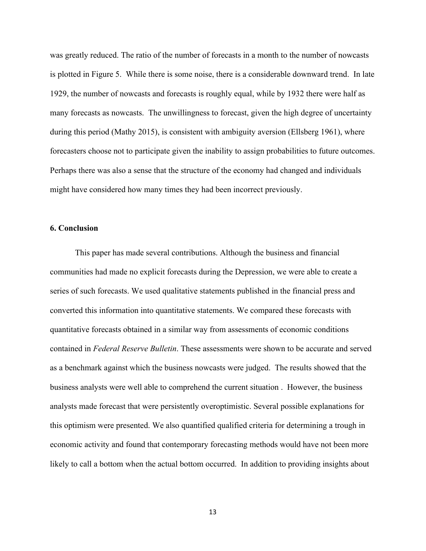was greatly reduced. The ratio of the number of forecasts in a month to the number of nowcasts is plotted in Figure 5. While there is some noise, there is a considerable downward trend. In late 1929, the number of nowcasts and forecasts is roughly equal, while by 1932 there were half as many forecasts as nowcasts. The unwillingness to forecast, given the high degree of uncertainty during this period (Mathy 2015), is consistent with ambiguity aversion (Ellsberg 1961), where forecasters choose not to participate given the inability to assign probabilities to future outcomes. Perhaps there was also a sense that the structure of the economy had changed and individuals might have considered how many times they had been incorrect previously.

#### **6. Conclusion**

This paper has made several contributions. Although the business and financial communities had made no explicit forecasts during the Depression, we were able to create a series of such forecasts. We used qualitative statements published in the financial press and converted this information into quantitative statements. We compared these forecasts with quantitative forecasts obtained in a similar way from assessments of economic conditions contained in *Federal Reserve Bulletin*. These assessments were shown to be accurate and served as a benchmark against which the business nowcasts were judged. The results showed that the business analysts were well able to comprehend the current situation . However, the business analysts made forecast that were persistently overoptimistic. Several possible explanations for this optimism were presented. We also quantified qualified criteria for determining a trough in economic activity and found that contemporary forecasting methods would have not been more likely to call a bottom when the actual bottom occurred. In addition to providing insights about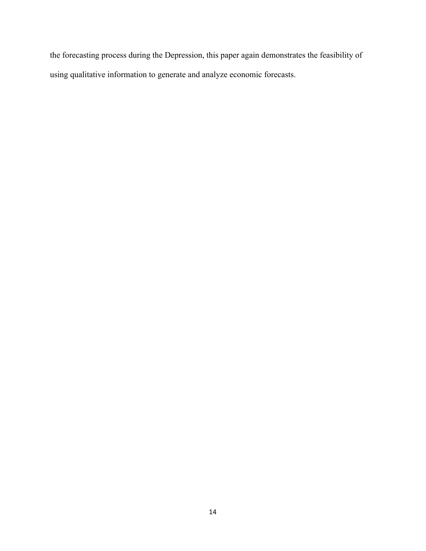the forecasting process during the Depression, this paper again demonstrates the feasibility of using qualitative information to generate and analyze economic forecasts.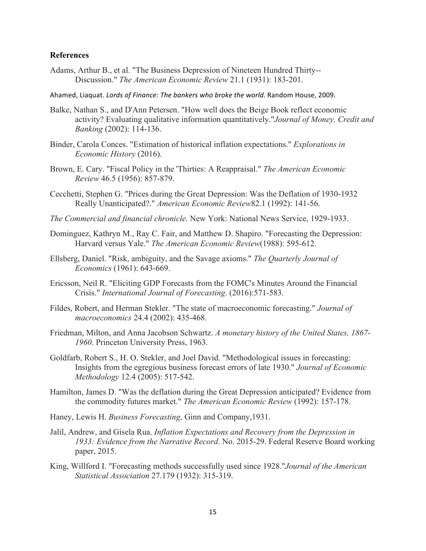#### **References**

- Adams, Arthur B., et al. "The Business Depression of Nineteen Hundred Thirty-- Discussion." *The American Economic Review* 21.1 (1931): 183-201.
- Ahamed, Liaquat. *Lords of Finance: The bankers who broke the world.* Random House, 2009.
- Balke, Nathan S., and D'Ann Petersen. "How well does the Beige Book reflect economic activity? Evaluating qualitative information quantitatively."*Journal of Money, Credit and Banking* (2002): 114-136.
- Binder, Carola Conces. "Estimation of historical inflation expectations." *Explorations in Economic History* (2016).
- Brown, E. Cary. "Fiscal Policy in the 'Thirties: A Reappraisal." *The American Economic Review* 46.5 (1956): 857-879.
- Cecchetti, Stephen G. "Prices during the Great Depression: Was the Deflation of 1930-1932 Really Unanticipated?." *American Economic Review*82.1 (1992): 141-56.
- *The Commercial and financial chronicle.* New York: National News Service, 1929-1933.
- Dominguez, Kathryn M., Ray C. Fair, and Matthew D. Shapiro. "Forecasting the Depression: Harvard versus Yale." *The American Economic Review*(1988): 595-612.
- Ellsberg, Daniel. "Risk, ambiguity, and the Savage axioms." *The Quarterly Journal of Economics* (1961): 643-669.
- Ericsson, Neil R. "Eliciting GDP Forecasts from the FOMC's Minutes Around the Financial Crisis." *International Journal of Forecasting*. (2016):571-583.
- Fildes, Robert, and Herman Stekler. "The state of macroeconomic forecasting." *Journal of macroeconomics* 24.4 (2002): 435-468.
- Friedman, Milton, and Anna Jacobson Schwartz. *A monetary history of the United States, 1867- 1960*. Princeton University Press, 1963.
- Goldfarb, Robert S., H. O. Stekler, and Joel David. "Methodological issues in forecasting: Insights from the egregious business forecast errors of late 1930." *Journal of Economic Methodology* 12.4 (2005): 517-542.
- Hamilton, James D. "Was the deflation during the Great Depression anticipated? Evidence from the commodity futures market." *The American Economic Review* (1992): 157-178.
- Haney, Lewis H. *Business Forecasting*, Ginn and Company,1931.
- Jalil, Andrew, and Gisela Rua. *Inflation Expectations and Recovery from the Depression in 1933: Evidence from the Narrative Record*. No. 2015-29. Federal Reserve Board working paper, 2015.
- King, Willford I. "Forecasting methods successfully used since 1928."*Journal of the American Statistical Association* 27.179 (1932): 315-319.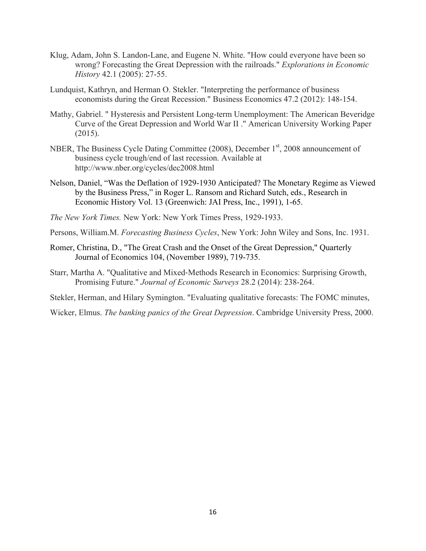- Klug, Adam, John S. Landon-Lane, and Eugene N. White. "How could everyone have been so wrong? Forecasting the Great Depression with the railroads." *Explorations in Economic History* 42.1 (2005): 27-55.
- Lundquist, Kathryn, and Herman O. Stekler. "Interpreting the performance of business economists during the Great Recession." Business Economics 47.2 (2012): 148-154.
- Mathy, Gabriel. " Hysteresis and Persistent Long-term Unemployment: The American Beveridge Curve of the Great Depression and World War II ." American University Working Paper (2015).
- NBER, The Business Cycle Dating Committee (2008), December 1<sup>st</sup>, 2008 announcement of business cycle trough/end of last recession. Available at http://www.nber.org/cycles/dec2008.html
- Nelson, Daniel, "Was the Deflation of 1929-1930 Anticipated? The Monetary Regime as Viewed by the Business Press," in Roger L. Ransom and Richard Sutch, eds., Research in Economic History Vol. 13 (Greenwich: JAI Press, Inc., 1991), 1-65.
- *The New York Times.* New York: New York Times Press, 1929-1933.
- Persons, William.M. *Forecasting Business Cycles*, New York: John Wiley and Sons, Inc. 1931.
- Romer, Christina, D., "The Great Crash and the Onset of the Great Depression," Quarterly Journal of Economics 104, (November 1989), 719-735.
- Starr, Martha A. "Qualitative and Mixed-Methods Research in Economics: Surprising Growth, Promising Future." *Journal of Economic Surveys* 28.2 (2014): 238-264.
- Stekler, Herman, and Hilary Symington. "Evaluating qualitative forecasts: The FOMC minutes,
- Wicker, Elmus. *The banking panics of the Great Depression*. Cambridge University Press, 2000.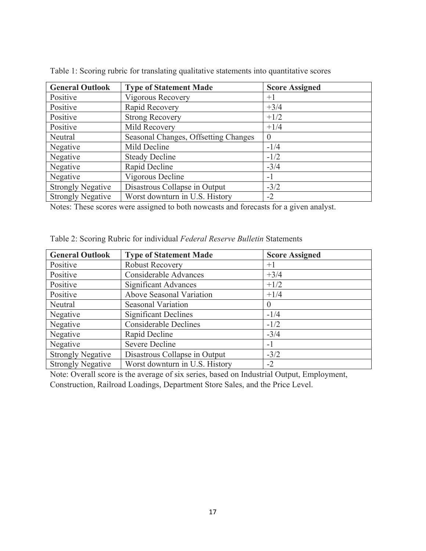| <b>General Outlook</b>   | <b>Type of Statement Made</b>        | <b>Score Assigned</b> |
|--------------------------|--------------------------------------|-----------------------|
| Positive                 | Vigorous Recovery                    | $+1$                  |
| Positive                 | Rapid Recovery                       | $+3/4$                |
| Positive                 | <b>Strong Recovery</b>               | $+1/2$                |
| Positive                 | Mild Recovery                        | $+1/4$                |
| Neutral                  | Seasonal Changes, Offsetting Changes | $\theta$              |
| Negative                 | Mild Decline                         | $-1/4$                |
| Negative                 | <b>Steady Decline</b>                | $-1/2$                |
| Negative                 | Rapid Decline                        | $-3/4$                |
| Negative                 | Vigorous Decline                     | $-1$                  |
| <b>Strongly Negative</b> | Disastrous Collapse in Output        | $-3/2$                |
| <b>Strongly Negative</b> | Worst downturn in U.S. History       | $-2$                  |

Table 1: Scoring rubric for translating qualitative statements into quantitative scores

Notes: These scores were assigned to both nowcasts and forecasts for a given analyst.

| <b>General Outlook</b>   | <b>Type of Statement Made</b>  | <b>Score Assigned</b> |
|--------------------------|--------------------------------|-----------------------|
| Positive                 | <b>Robust Recovery</b>         | $+1$                  |
| Positive                 | <b>Considerable Advances</b>   | $+3/4$                |
| Positive                 | Significant Advances           | $+1/2$                |
| Positive                 | Above Seasonal Variation       | $+1/4$                |
| Neutral                  | Seasonal Variation             | $\Omega$              |
| Negative                 | <b>Significant Declines</b>    | $-1/4$                |
| Negative                 | <b>Considerable Declines</b>   | $-1/2$                |
| Negative                 | Rapid Decline                  | $-3/4$                |
| Negative                 | <b>Severe Decline</b>          | $-1$                  |
| <b>Strongly Negative</b> | Disastrous Collapse in Output  | $-3/2$                |
| <b>Strongly Negative</b> | Worst downturn in U.S. History | $-2$                  |

|  |  | Table 2: Scoring Rubric for individual Federal Reserve Bulletin Statements |
|--|--|----------------------------------------------------------------------------|
|--|--|----------------------------------------------------------------------------|

Note: Overall score is the average of six series, based on Industrial Output, Employment, Construction, Railroad Loadings, Department Store Sales, and the Price Level.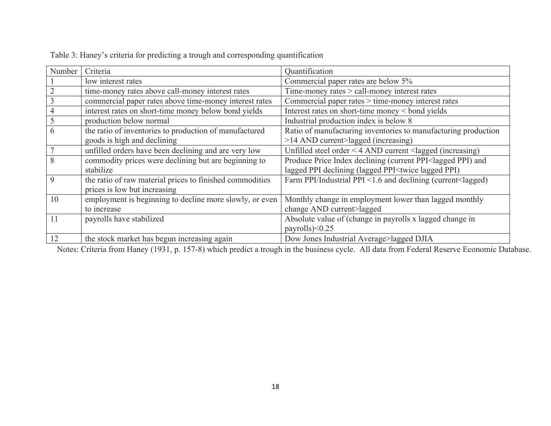| Number         | Criteria                                                 | Quantification                                                                     |
|----------------|----------------------------------------------------------|------------------------------------------------------------------------------------|
|                | low interest rates                                       | Commercial paper rates are below 5%                                                |
| $\overline{2}$ | time-money rates above call-money interest rates         | Time-money rates > call-money interest rates                                       |
| $\mathfrak{Z}$ | commercial paper rates above time-money interest rates   | Commercial paper rates > time-money interest rates                                 |
| $\overline{4}$ | interest rates on short-time money below bond yields     | Interest rates on short-time money < bond yields                                   |
| $\mathfrak{S}$ | production below normal                                  | Industrial production index is below 8                                             |
| 6              | the ratio of inventories to production of manufactured   | Ratio of manufacturing inventories to manufacturing production                     |
|                | goods is high and declining                              | >14 AND current>lagged (increasing)                                                |
| $\overline{7}$ | unfilled orders have been declining and are very low     | Unfilled steel order < $4$ AND current <lagged (increasing)<="" td=""></lagged>    |
| 8              | commodity prices were declining but are beginning to     | Produce Price Index declining (current PPI <lagged and<="" ppi)="" td=""></lagged> |
|                | stabilize                                                | lagged PPI declining (lagged PPI <twice lagged="" ppi)<="" td=""></twice>          |
| 9              | the ratio of raw material prices to finished commodities | Farm PPI/Industrial PPI <1.6 and declining (current <lagged)< td=""></lagged)<>    |
|                | prices is low but increasing                             |                                                                                    |
| 10             | employment is beginning to decline more slowly, or even  | Monthly change in employment lower than lagged monthly                             |
|                | to increase                                              | change AND current>lagged                                                          |
| 11             | payrolls have stabilized                                 | Absolute value of (change in payrolls x lagged change in                           |
|                |                                                          | payrolls $)<0.25$                                                                  |
| 12             | the stock market has begun increasing again              | Dow Jones Industrial Average>lagged DJIA                                           |

Table 3: Haney's criteria for predicting a trough and corresponding quantification

Notes: Criteria from Haney (1931, p. 157-8) which predict a trough in the business cycle. All data from Federal Reserve Economic Database.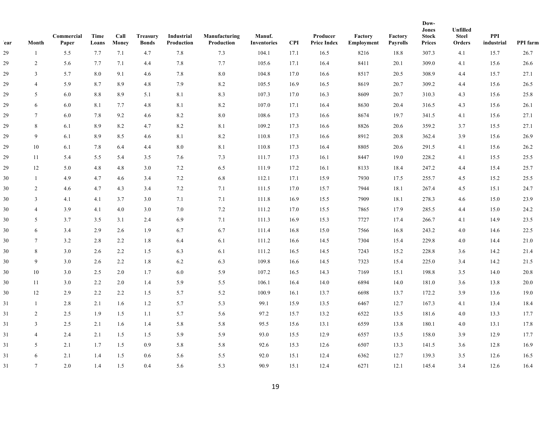| ear | Month           | Commercial<br>Paper | Time<br>Loans | Call<br>Money | <b>Treasury</b><br><b>Bonds</b> | Industrial<br>Production | Manufacturing<br>Production | Manuf.<br><b>Inventories</b> | <b>CPI</b> | Producer<br><b>Price Index</b> | Factory<br>Employment | Factory<br><b>Payrolls</b> | Dow-<br><b>Jones</b><br><b>Stock</b><br><b>Prices</b> | Unfilled<br><b>Steel</b><br>Orders | PPI<br>industrial | PPI farm |
|-----|-----------------|---------------------|---------------|---------------|---------------------------------|--------------------------|-----------------------------|------------------------------|------------|--------------------------------|-----------------------|----------------------------|-------------------------------------------------------|------------------------------------|-------------------|----------|
| 29  | -1              | 5.5                 | 7.7           | 7.1           | 4.7                             | 7.8                      | 7.3                         | 104.1                        | 17.1       | 16.5                           | 8216                  | 18.8                       | 307.3                                                 | 4.1                                | 15.7              | 26.7     |
| 29  | 2               | 5.6                 | 7.7           | 7.1           | 4.4                             | 7.8                      | 7.7                         | 105.6                        | 17.1       | 16.4                           | 8411                  | 20.1                       | 309.0                                                 | 4.1                                | 15.6              | 26.6     |
| 29  | 3               | 5.7                 | 8.0           | 9.1           | 4.6                             | 7.8                      | $8.0\,$                     | 104.8                        | 17.0       | 16.6                           | 8517                  | 20.5                       | 308.9                                                 | 4.4                                | 15.7              | 27.1     |
| 29  | $\overline{4}$  | 5.9                 | 8.7           | 8.9           | 4.8                             | 7.9                      | $8.2\,$                     | 105.5                        | 16.9       | 16.5                           | 8619                  | 20.7                       | 309.2                                                 | 4.4                                | 15.6              | 26.5     |
| 29  | 5               | 6.0                 | 8.8           | 8.9           | 5.1                             | 8.1                      | 8.3                         | 107.3                        | 17.0       | 16.3                           | 8609                  | 20.7                       | 310.3                                                 | 4.3                                | 15.6              | 25.8     |
| 29  | 6               | 6.0                 | 8.1           | 7.7           | 4.8                             | $8.1\,$                  | $8.2\,$                     | 107.0                        | 17.1       | 16.4                           | 8630                  | 20.4                       | 316.5                                                 | 4.3                                | 15.6              | 26.1     |
| 29  | $\overline{7}$  | 6.0                 | 7.8           | 9.2           | 4.6                             | 8.2                      | $8.0\,$                     | 108.6                        | 17.3       | 16.6                           | 8674                  | 19.7                       | 341.5                                                 | 4.1                                | 15.6              | 27.1     |
| 29  | 8               | 6.1                 | 8.9           | 8.2           | 4.7                             | $8.2\,$                  | 8.1                         | 109.2                        | 17.3       | 16.6                           | 8826                  | 20.6                       | 359.2                                                 | 3.7                                | 15.5              | 27.1     |
| 29  | 9               | 6.1                 | 8.9           | 8.5           | 4.6                             | $8.1\,$                  | $8.2\,$                     | 110.8                        | 17.3       | 16.6                           | 8912                  | 20.8                       | 362.4                                                 | 3.9                                | 15.6              | 26.9     |
| 29  | 10              | 6.1                 | 7.8           | 6.4           | 4.4                             | 8.0                      | 8.1                         | 110.8                        | 17.3       | 16.4                           | 8805                  | 20.6                       | 291.5                                                 | 4.1                                | 15.6              | 26.2     |
| 29  | 11              | 5.4                 | 5.5           | 5.4           | 3.5                             | 7.6                      | 7.3                         | 111.7                        | 17.3       | 16.1                           | 8447                  | 19.0                       | 228.2                                                 | 4.1                                | 15.5              | 25.5     |
| 29  | 12              | 5.0                 | 4.8           | 4.8           | 3.0                             | 7.2                      | 6.5                         | 111.9                        | 17.2       | 16.1                           | 8133                  | 18.4                       | 247.2                                                 | 4.4                                | 15.4              | 25.7     |
| 30  | $\mathbf{1}$    | 4.9                 | 4.7           | 4.6           | 3.4                             | 7.2                      | 6.8                         | 112.1                        | 17.1       | 15.9                           | 7930                  | 17.5                       | 255.7                                                 | 4.5                                | 15.2              | 25.5     |
| 30  | $\overline{2}$  | 4.6                 | 4.7           | 4.3           | 3.4                             | 7.2                      | 7.1                         | 111.5                        | 17.0       | 15.7                           | 7944                  | 18.1                       | 267.4                                                 | 4.5                                | 15.1              | 24.7     |
| 30  | $\mathbf{3}$    | 4.1                 | 4.1           | 3.7           | 3.0                             | 7.1                      | 7.1                         | 111.8                        | 16.9       | 15.5                           | 7909                  | 18.1                       | 278.3                                                 | 4.6                                | 15.0              | 23.9     |
| 30  | $\overline{4}$  | 3.9                 | 4.1           | 4.0           | 3.0                             | $7.0\,$                  | 7.2                         | 111.2                        | 17.0       | 15.5                           | 7865                  | 17.9                       | 285.5                                                 | 4.4                                | 15.0              | 24.2     |
| 30  | 5               | 3.7                 | 3.5           | 3.1           | 2.4                             | 6.9                      | 7.1                         | 111.3                        | 16.9       | 15.3                           | 7727                  | 17.4                       | 266.7                                                 | 4.1                                | 14.9              | 23.5     |
| 30  | 6               | 3.4                 | 2.9           | 2.6           | 1.9                             | 6.7                      | 6.7                         | 111.4                        | 16.8       | 15.0                           | 7566                  | 16.8                       | 243.2                                                 | 4.0                                | 14.6              | 22.5     |
| 30  | $\tau$          | 3.2                 | 2.8           | 2.2           | 1.8                             | 6.4                      | 6.1                         | 111.2                        | 16.6       | 14.5                           | 7304                  | 15.4                       | 229.8                                                 | 4.0                                | 14.4              | 21.0     |
| 30  | 8               | 3.0                 | 2.6           | 2.2           | 1.5                             | 6.3                      | 6.1                         | 111.2                        | 16.5       | 14.5                           | 7243                  | 15.2                       | 228.8                                                 | 3.6                                | 14.2              | 21.4     |
| 30  | 9               | 3.0                 | 2.6           | 2.2           | 1.8                             | 6.2                      | 6.3                         | 109.8                        | 16.6       | 14.5                           | 7323                  | 15.4                       | 225.0                                                 | 3.4                                | 14.2              | 21.5     |
| 30  | 10              | 3.0                 | 2.5           | 2.0           | 1.7                             | 6.0                      | 5.9                         | 107.2                        | 16.5       | 14.3                           | 7169                  | 15.1                       | 198.8                                                 | 3.5                                | 14.0              | 20.8     |
| 30  | 11              | 3.0                 | 2.2           | 2.0           | 1.4                             | 5.9                      | 5.5                         | 106.1                        | 16.4       | 14.0                           | 6894                  | 14.0                       | 181.0                                                 | 3.6                                | 13.8              | 20.0     |
| 30  | 12              | 2.9                 | 2.2           | 2.2           | 1.5                             | 5.7                      | 5.2                         | 100.9                        | 16.1       | 13.7                           | 6698                  | 13.7                       | 172.2                                                 | 3.9                                | 13.6              | 19.0     |
| 31  | $\mathbf{1}$    | 2.8                 | 2.1           | 1.6           | 1.2                             | 5.7                      | 5.3                         | 99.1                         | 15.9       | 13.5                           | 6467                  | 12.7                       | 167.3                                                 | 4.1                                | 13.4              | 18.4     |
| 31  | 2               | 2.5                 | 1.9           | 1.5           | 1.1                             | 5.7                      | 5.6                         | 97.2                         | 15.7       | 13.2                           | 6522                  | 13.5                       | 181.6                                                 | $4.0\,$                            | 13.3              | 17.7     |
| 31  | $\mathfrak{Z}$  | 2.5                 | 2.1           | 1.6           | 1.4                             | 5.8                      | 5.8                         | 95.5                         | 15.6       | 13.1                           | 6559                  | 13.8                       | 180.1                                                 | 4.0                                | 13.1              | 17.8     |
| 31  | $\overline{4}$  | 2.4                 | 2.1           | 1.5           | 1.5                             | 5.9                      | 5.9                         | 93.0                         | 15.5       | 12.9                           | 6557                  | 13.5                       | 158.0                                                 | 3.9                                | 12.9              | 17.7     |
| 31  | 5               | 2.1                 | 1.7           | 1.5           | 0.9                             | 5.8                      | 5.8                         | 92.6                         | 15.3       | 12.6                           | 6507                  | 13.3                       | 141.5                                                 | 3.6                                | 12.8              | 16.9     |
| 31  | 6               | 2.1                 | 1.4           | 1.5           | 0.6                             | 5.6                      | 5.5                         | 92.0                         | 15.1       | 12.4                           | 6362                  | 12.7                       | 139.3                                                 | 3.5                                | 12.6              | 16.5     |
| 31  | $7\overline{ }$ | 2.0                 | 1.4           | 1.5           | 0.4                             | 5.6                      | 5.3                         | 90.9                         | 15.1       | 12.4                           | 6271                  | 12.1                       | 145.4                                                 | 3.4                                | 12.6              | 16.4     |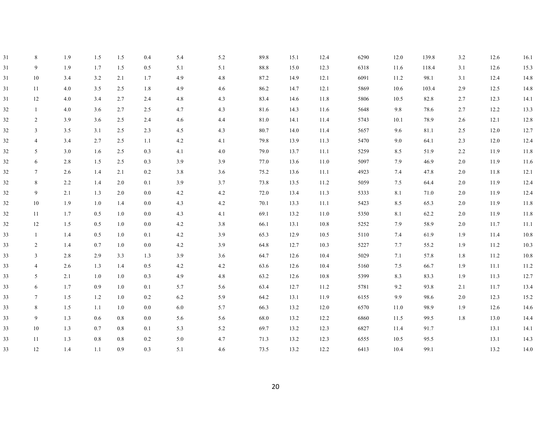| 31 | 8              | 1.9 | 1.5 | 1.5 | 0.4     | 5.4 | 5.2     | 89.8 | 15.1 | 12.4 | 6290 | 12.0 | 139.8 | 3.2     | 12.6 | 16.1     |
|----|----------------|-----|-----|-----|---------|-----|---------|------|------|------|------|------|-------|---------|------|----------|
| 31 | 9              | 1.9 | 1.7 | 1.5 | 0.5     | 5.1 | 5.1     | 88.8 | 15.0 | 12.3 | 6318 | 11.6 | 118.4 | 3.1     | 12.6 | 15.3     |
| 31 | 10             | 3.4 | 3.2 | 2.1 | 1.7     | 4.9 | 4.8     | 87.2 | 14.9 | 12.1 | 6091 | 11.2 | 98.1  | 3.1     | 12.4 | 14.8     |
| 31 | 11             | 4.0 | 3.5 | 2.5 | 1.8     | 4.9 | 4.6     | 86.2 | 14.7 | 12.1 | 5869 | 10.6 | 103.4 | 2.9     | 12.5 | 14.8     |
| 31 | 12             | 4.0 | 3.4 | 2.7 | 2.4     | 4.8 | 4.3     | 83.4 | 14.6 | 11.8 | 5806 | 10.5 | 82.8  | 2.7     | 12.3 | 14.1     |
| 32 |                | 4.0 | 3.6 | 2.7 | 2.5     | 4.7 | $4.3$   | 81.6 | 14.3 | 11.6 | 5648 | 9.8  | 78.6  | 2.7     | 12.2 | 13.3     |
| 32 | 2              | 3.9 | 3.6 | 2.5 | 2.4     | 4.6 | 4.4     | 81.0 | 14.1 | 11.4 | 5743 | 10.1 | 78.9  | 2.6     | 12.1 | 12.8     |
| 32 | 3              | 3.5 | 3.1 | 2.5 | 2.3     | 4.5 | 4.3     | 80.7 | 14.0 | 11.4 | 5657 | 9.6  | 81.1  | 2.5     | 12.0 | 12.7     |
| 32 | $\overline{4}$ | 3.4 | 2.7 | 2.5 | 1.1     | 4.2 | 4.1     | 79.8 | 13.9 | 11.3 | 5470 | 9.0  | 64.1  | 2.3     | 12.0 | 12.4     |
| 32 | 5              | 3.0 | 1.6 | 2.5 | 0.3     | 4.1 | 4.0     | 79.0 | 13.7 | 11.1 | 5259 | 8.5  | 51.9  | 2.2     | 11.9 | 11.8     |
| 32 | 6              | 2.8 | 1.5 | 2.5 | 0.3     | 3.9 | 3.9     | 77.0 | 13.6 | 11.0 | 5097 | 7.9  | 46.9  | 2.0     | 11.9 | 11.6     |
| 32 | $\tau$         | 2.6 | 1.4 | 2.1 | $0.2\,$ | 3.8 | 3.6     | 75.2 | 13.6 | 11.1 | 4923 | 7.4  | 47.8  | $2.0\,$ | 11.8 | 12.1     |
| 32 | 8              | 2.2 | 1.4 | 2.0 | 0.1     | 3.9 | 3.7     | 73.8 | 13.5 | 11.2 | 5059 | 7.5  | 64.4  | 2.0     | 11.9 | 12.4     |
| 32 | 9              | 2.1 | 1.3 | 2.0 | 0.0     | 4.2 | 4.2     | 72.0 | 13.4 | 11.3 | 5333 | 8.1  | 71.0  | 2.0     | 11.9 | 12.4     |
| 32 | 10             | 1.9 | 1.0 | 1.4 | 0.0     | 4.3 | $4.2\,$ | 70.1 | 13.3 | 11.1 | 5423 | 8.5  | 65.3  | 2.0     | 11.9 | 11.8     |
| 32 | 11             | 1.7 | 0.5 | 1.0 | 0.0     | 4.3 | 4.1     | 69.1 | 13.2 | 11.0 | 5350 | 8.1  | 62.2  | 2.0     | 11.9 | 11.8     |
| 32 | 12             | 1.5 | 0.5 | 1.0 | 0.0     | 4.2 | 3.8     | 66.1 | 13.1 | 10.8 | 5252 | 7.9  | 58.9  | 2.0     | 11.7 | $11.1\,$ |
| 33 |                | 1.4 | 0.5 | 1.0 | 0.1     | 4.2 | 3.9     | 65.3 | 12.9 | 10.5 | 5110 | 7.4  | 61.9  | 1.9     | 11.4 | 10.8     |
| 33 | 2              | 1.4 | 0.7 | 1.0 | 0.0     | 4.2 | 3.9     | 64.8 | 12.7 | 10.3 | 5227 | 7.7  | 55.2  | 1.9     | 11.2 | 10.3     |
| 33 | 3              | 2.8 | 2.9 | 3.3 | 1.3     | 3.9 | $3.6$   | 64.7 | 12.6 | 10.4 | 5029 | 7.1  | 57.8  | $1.8\,$ | 11.2 | $10.8\,$ |
| 33 | 4              | 2.6 | 1.3 | 1.4 | 0.5     | 4.2 | $4.2\,$ | 63.6 | 12.6 | 10.4 | 5160 | 7.5  | 66.7  | 1.9     | 11.1 | 11.2     |
| 33 | 5              | 2.1 | 1.0 | 1.0 | 0.3     | 4.9 | 4.8     | 63.2 | 12.6 | 10.8 | 5399 | 8.3  | 83.3  | 1.9     | 11.3 | 12.7     |
| 33 | 6              | 1.7 | 0.9 | 1.0 | 0.1     | 5.7 | 5.6     | 63.4 | 12.7 | 11.2 | 5781 | 9.2  | 93.8  | 2.1     | 11.7 | 13.4     |
| 33 | $\tau$         | 1.5 | 1.2 | 1.0 | 0.2     | 6.2 | 5.9     | 64.2 | 13.1 | 11.9 | 6155 | 9.9  | 98.6  | 2.0     | 12.3 | 15.2     |
| 33 | 8              | 1.5 | 1.1 | 1.0 | 0.0     | 6.0 | 5.7     | 66.3 | 13.2 | 12.0 | 6570 | 11.0 | 98.9  | 1.9     | 12.6 | 14.6     |
| 33 | 9              | 1.3 | 0.6 | 0.8 | 0.0     | 5.6 | 5.6     | 68.0 | 13.2 | 12.2 | 6860 | 11.5 | 99.5  | 1.8     | 13.0 | 14.4     |
| 33 | 10             | 1.3 | 0.7 | 0.8 | 0.1     | 5.3 | 5.2     | 69.7 | 13.2 | 12.3 | 6827 | 11.4 | 91.7  |         | 13.1 | 14.1     |
| 33 | 11             | 1.3 | 0.8 | 0.8 | 0.2     | 5.0 | 4.7     | 71.3 | 13.2 | 12.3 | 6555 | 10.5 | 95.5  |         | 13.1 | 14.3     |
| 33 | 12             | 1.4 | 1.1 | 0.9 | 0.3     | 5.1 | 4.6     | 73.5 | 13.2 | 12.2 | 6413 | 10.4 | 99.1  |         | 13.2 | 14.0     |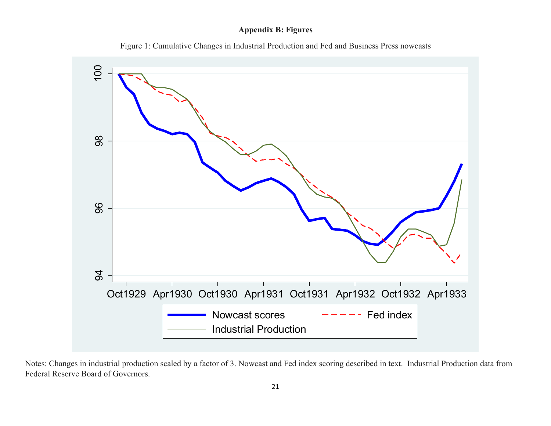### **Appendix B: Figures**





Notes: Changes in industrial production scaled by a factor of 3. Nowcast and Fed index scoring described in text. Industrial Production data from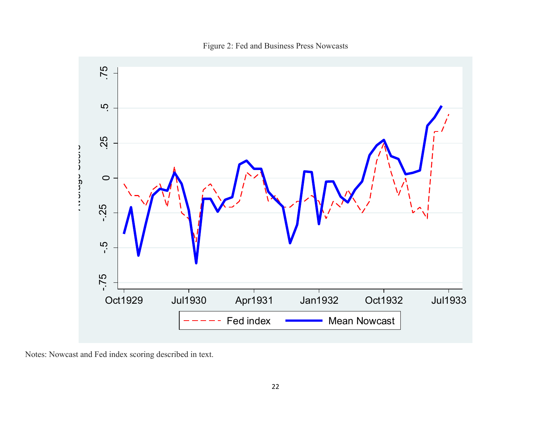Figure 2: Fed and Business Press Nowcasts

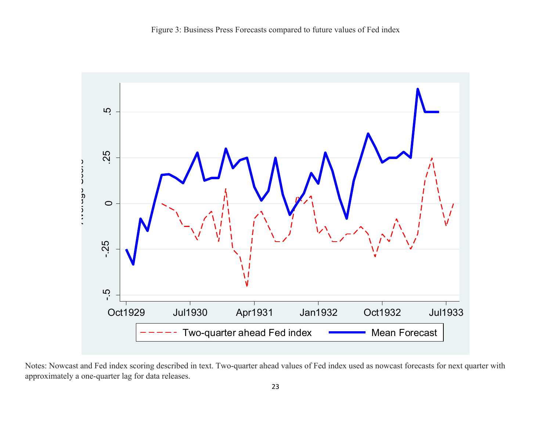

Notes: Nowcast and Fed index scoring described in text. Two-quarter ahead values of Fed index used as nowcast forecasts for next quarter with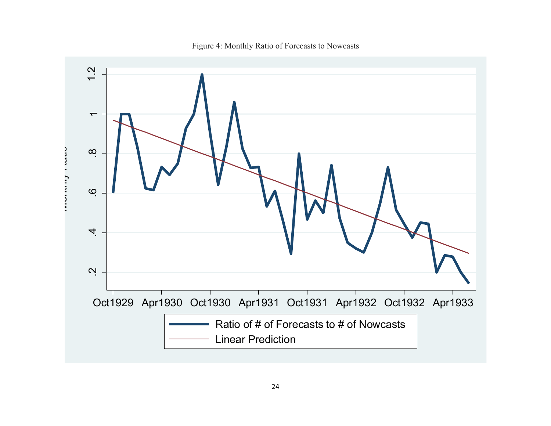Figure 4: Monthly Ratio of Forecasts to Nowcasts

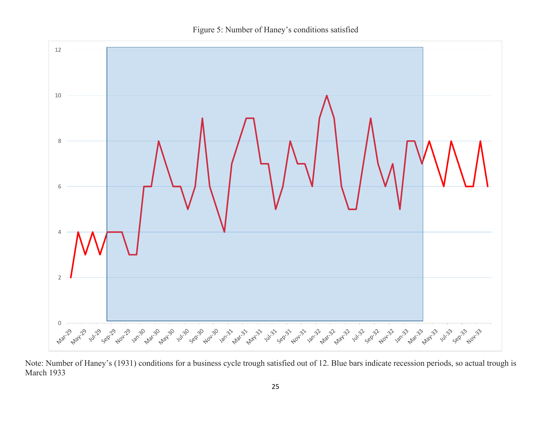Figure 5: Number of Haney's conditions satisfied



Note: Number of Haney's (1931) conditions for a business cycle trough satisfied out of 12. Blue bars indicate recession periods, so actual trough is March 1933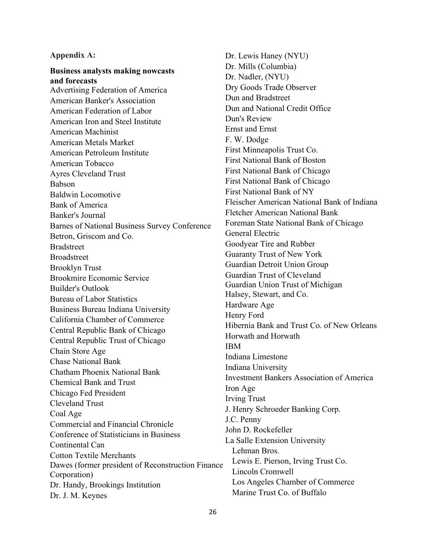#### **Appendix A:**

**Business analysts making nowcasts and forecasts** Advertising Federation of America American Banker's Association American Federation of Labor American Iron and Steel Institute American Machinist American Metals Market American Petroleum Institute American Tobacco Ayres Cleveland Trust Babson Baldwin Locomotive Bank of America Banker's Journal Barnes of National Business Survey Conference Betron, Griscom and Co. **Bradstreet** Broadstreet Brooklyn Trust Brookmire Economic Service Builder's Outlook Bureau of Labor Statistics Business Bureau Indiana University California Chamber of Commerce Central Republic Bank of Chicago Central Republic Trust of Chicago Chain Store Age Chase National Bank Chatham Phoenix National Bank Chemical Bank and Trust Chicago Fed President Cleveland Trust Coal Age Commercial and Financial Chronicle Conference of Statisticians in Business Continental Can Cotton Textile Merchants Dawes (former president of Reconstruction Finance Corporation) Dr. Handy, Brookings Institution Dr. J. M. Keynes

Dr. Lewis Haney (NYU) Dr. Mills (Columbia) Dr. Nadler, (NYU) Dry Goods Trade Observer Dun and Bradstreet Dun and National Credit Office Dun's Review Ernst and Ernst F. W. Dodge First Minneapolis Trust Co. First National Bank of Boston First National Bank of Chicago First National Bank of Chicago First National Bank of NY Fleischer American National Bank of Indiana Fletcher American National Bank Foreman State National Bank of Chicago General Electric Goodyear Tire and Rubber Guaranty Trust of New York Guardian Detroit Union Group Guardian Trust of Cleveland Guardian Union Trust of Michigan Halsey, Stewart, and Co. Hardware Age Henry Ford Hibernia Bank and Trust Co. of New Orleans Horwath and Horwath IBM Indiana Limestone Indiana University Investment Bankers Association of America Iron Age Irving Trust J. Henry Schroeder Banking Corp. J.C. Penny John D. Rockefeller La Salle Extension University Lehman Bros. Lewis E. Pierson, Irving Trust Co. Lincoln Cromwell Los Angeles Chamber of Commerce Marine Trust Co. of Buffalo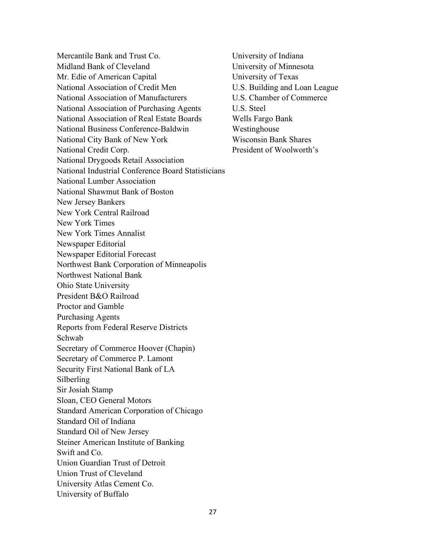Mercantile Bank and Trust Co. Midland Bank of Cleveland Mr. Edie of American Capital National Association of Credit Men National Association of Manufacturers National Association of Purchasing Agents National Association of Real Estate Boards National Business Conference-Baldwin National City Bank of New York National Credit Corp. National Drygoods Retail Association National Industrial Conference Board Statisticians National Lumber Association National Shawmut Bank of Boston New Jersey Bankers New York Central Railroad New York Times New York Times Annalist Newspaper Editorial Newspaper Editorial Forecast Northwest Bank Corporation of Minneapolis Northwest National Bank Ohio State University President B&O Railroad Proctor and Gamble Purchasing Agents Reports from Federal Reserve Districts Schwab Secretary of Commerce Hoover (Chapin) Secretary of Commerce P. Lamont Security First National Bank of LA Silberling Sir Josiah Stamp Sloan, CEO General Motors Standard American Corporation of Chicago Standard Oil of Indiana Standard Oil of New Jersey Steiner American Institute of Banking Swift and Co. Union Guardian Trust of Detroit Union Trust of Cleveland University Atlas Cement Co. University of Buffalo

University of Indiana University of Minnesota University of Texas U.S. Building and Loan League U.S. Chamber of Commerce U.S. Steel Wells Fargo Bank Westinghouse Wisconsin Bank Shares President of Woolworth's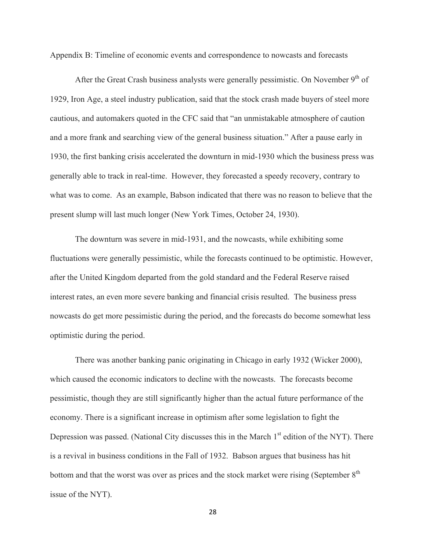Appendix B: Timeline of economic events and correspondence to nowcasts and forecasts

After the Great Crash business analysts were generally pessimistic. On November  $9<sup>th</sup>$  of 1929, Iron Age, a steel industry publication, said that the stock crash made buyers of steel more cautious, and automakers quoted in the CFC said that "an unmistakable atmosphere of caution and a more frank and searching view of the general business situation." After a pause early in 1930, the first banking crisis accelerated the downturn in mid-1930 which the business press was generally able to track in real-time. However, they forecasted a speedy recovery, contrary to what was to come. As an example, Babson indicated that there was no reason to believe that the present slump will last much longer (New York Times, October 24, 1930).

The downturn was severe in mid-1931, and the nowcasts, while exhibiting some fluctuations were generally pessimistic, while the forecasts continued to be optimistic. However, after the United Kingdom departed from the gold standard and the Federal Reserve raised interest rates, an even more severe banking and financial crisis resulted. The business press nowcasts do get more pessimistic during the period, and the forecasts do become somewhat less optimistic during the period.

There was another banking panic originating in Chicago in early 1932 (Wicker 2000), which caused the economic indicators to decline with the nowcasts. The forecasts become pessimistic, though they are still significantly higher than the actual future performance of the economy. There is a significant increase in optimism after some legislation to fight the Depression was passed. (National City discusses this in the March  $1<sup>st</sup>$  edition of the NYT). There is a revival in business conditions in the Fall of 1932. Babson argues that business has hit bottom and that the worst was over as prices and the stock market were rising (September 8<sup>th</sup>) issue of the NYT).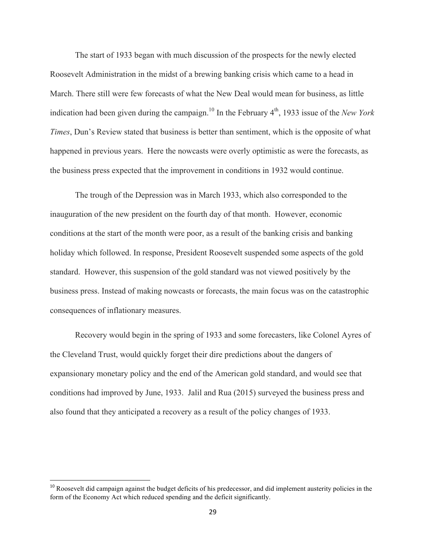The start of 1933 began with much discussion of the prospects for the newly elected Roosevelt Administration in the midst of a brewing banking crisis which came to a head in March. There still were few forecasts of what the New Deal would mean for business, as little indication had been given during the campaign.<sup>10</sup> In the February 4<sup>th</sup>, 1933 issue of the *New York Times*, Dun's Review stated that business is better than sentiment, which is the opposite of what happened in previous years. Here the nowcasts were overly optimistic as were the forecasts, as the business press expected that the improvement in conditions in 1932 would continue.

The trough of the Depression was in March 1933, which also corresponded to the inauguration of the new president on the fourth day of that month. However, economic conditions at the start of the month were poor, as a result of the banking crisis and banking holiday which followed. In response, President Roosevelt suspended some aspects of the gold standard. However, this suspension of the gold standard was not viewed positively by the business press. Instead of making nowcasts or forecasts, the main focus was on the catastrophic consequences of inflationary measures.

Recovery would begin in the spring of 1933 and some forecasters, like Colonel Ayres of the Cleveland Trust, would quickly forget their dire predictions about the dangers of expansionary monetary policy and the end of the American gold standard, and would see that conditions had improved by June, 1933. Jalil and Rua (2015) surveyed the business press and also found that they anticipated a recovery as a result of the policy changes of 1933.

############################################################

<sup>&</sup>lt;sup>10</sup> Roosevelt did campaign against the budget deficits of his predecessor, and did implement austerity policies in the form of the Economy Act which reduced spending and the deficit significantly.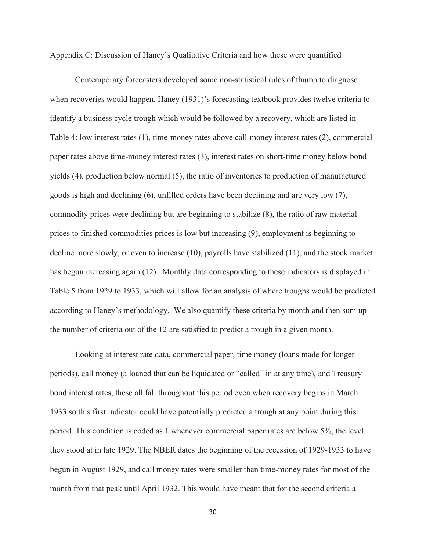Appendix C: Discussion of Haney's Qualitative Criteria and how these were quantified

Contemporary forecasters developed some non-statistical rules of thumb to diagnose when recoveries would happen. Haney (1931)'s forecasting textbook provides twelve criteria to identify a business cycle trough which would be followed by a recovery, which are listed in Table 4: low interest rates (1), time-money rates above call-money interest rates (2), commercial paper rates above time-money interest rates (3), interest rates on short-time money below bond yields (4), production below normal (5), the ratio of inventories to production of manufactured goods is high and declining (6), unfilled orders have been declining and are very low (7), commodity prices were declining but are beginning to stabilize (8), the ratio of raw material prices to finished commodities prices is low but increasing (9), employment is beginning to decline more slowly, or even to increase (10), payrolls have stabilized (11), and the stock market has begun increasing again (12). Monthly data corresponding to these indicators is displayed in Table 5 from 1929 to 1933, which will allow for an analysis of where troughs would be predicted according to Haney's methodology. We also quantify these criteria by month and then sum up the number of criteria out of the 12 are satisfied to predict a trough in a given month.

Looking at interest rate data, commercial paper, time money (loans made for longer periods), call money (a loaned that can be liquidated or "called" in at any time), and Treasury bond interest rates, these all fall throughout this period even when recovery begins in March 1933 so this first indicator could have potentially predicted a trough at any point during this period. This condition is coded as 1 whenever commercial paper rates are below 5%, the level they stood at in late 1929. The NBER dates the beginning of the recession of 1929-1933 to have begun in August 1929, and call money rates were smaller than time-money rates for most of the month from that peak until April 1932. This would have meant that for the second criteria a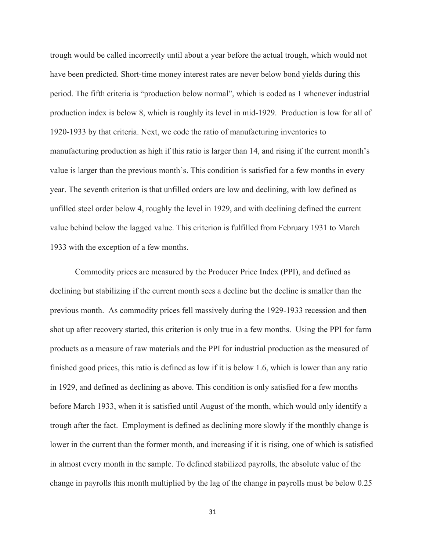trough would be called incorrectly until about a year before the actual trough, which would not have been predicted. Short-time money interest rates are never below bond yields during this period. The fifth criteria is "production below normal", which is coded as 1 whenever industrial production index is below 8, which is roughly its level in mid-1929. Production is low for all of 1920-1933 by that criteria. Next, we code the ratio of manufacturing inventories to manufacturing production as high if this ratio is larger than 14, and rising if the current month's value is larger than the previous month's. This condition is satisfied for a few months in every year. The seventh criterion is that unfilled orders are low and declining, with low defined as unfilled steel order below 4, roughly the level in 1929, and with declining defined the current value behind below the lagged value. This criterion is fulfilled from February 1931 to March 1933 with the exception of a few months.

Commodity prices are measured by the Producer Price Index (PPI), and defined as declining but stabilizing if the current month sees a decline but the decline is smaller than the previous month. As commodity prices fell massively during the 1929-1933 recession and then shot up after recovery started, this criterion is only true in a few months. Using the PPI for farm products as a measure of raw materials and the PPI for industrial production as the measured of finished good prices, this ratio is defined as low if it is below 1.6, which is lower than any ratio in 1929, and defined as declining as above. This condition is only satisfied for a few months before March 1933, when it is satisfied until August of the month, which would only identify a trough after the fact. Employment is defined as declining more slowly if the monthly change is lower in the current than the former month, and increasing if it is rising, one of which is satisfied in almost every month in the sample. To defined stabilized payrolls, the absolute value of the change in payrolls this month multiplied by the lag of the change in payrolls must be below 0.25